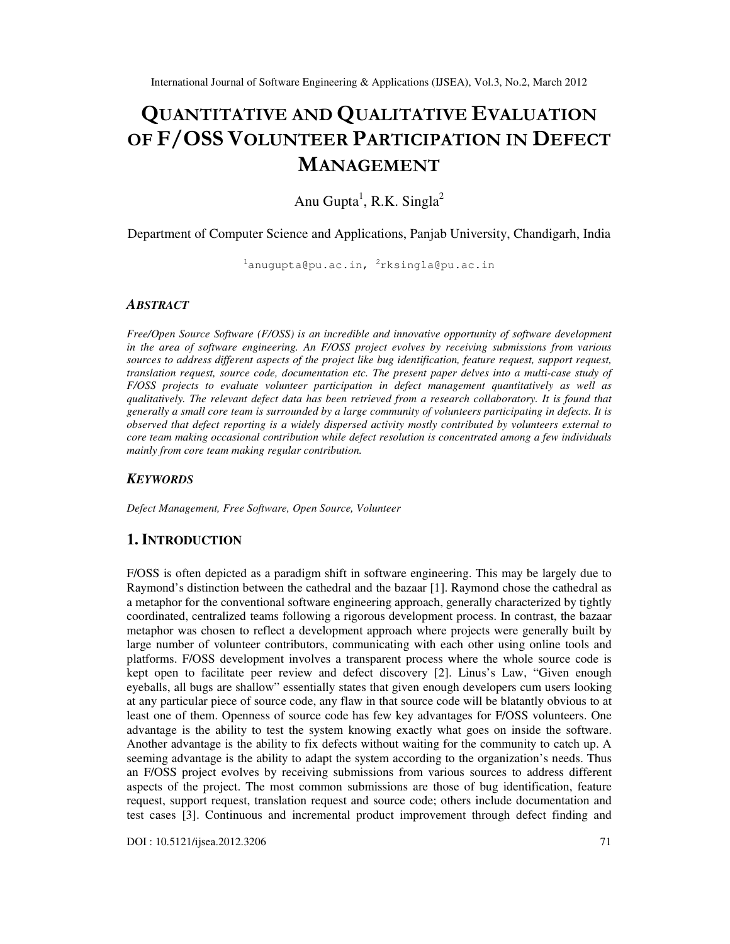# QUANTITATIVE AND QUALITATIVE EVALUATION OF F/OSS VOLUNTEER PARTICIPATION IN DEFECT MANAGEMENT

# Anu Gupta<sup>1</sup>, R.K. Singla<sup>2</sup>

Department of Computer Science and Applications, Panjab University, Chandigarh, India

 $1$ anuqupta@pu.ac.in,  $2$ rksingla@pu.ac.in

#### *ABSTRACT*

*Free/Open Source Software (F/OSS) is an incredible and innovative opportunity of software development in the area of software engineering. An F/OSS project evolves by receiving submissions from various sources to address different aspects of the project like bug identification, feature request, support request, translation request, source code, documentation etc. The present paper delves into a multi-case study of F/OSS projects to evaluate volunteer participation in defect management quantitatively as well as qualitatively. The relevant defect data has been retrieved from a research collaboratory. It is found that generally a small core team is surrounded by a large community of volunteers participating in defects. It is observed that defect reporting is a widely dispersed activity mostly contributed by volunteers external to core team making occasional contribution while defect resolution is concentrated among a few individuals mainly from core team making regular contribution.* 

#### *KEYWORDS*

*Defect Management, Free Software, Open Source, Volunteer* 

## **1. INTRODUCTION**

F/OSS is often depicted as a paradigm shift in software engineering. This may be largely due to Raymond's distinction between the cathedral and the bazaar [1]. Raymond chose the cathedral as a metaphor for the conventional software engineering approach, generally characterized by tightly coordinated, centralized teams following a rigorous development process. In contrast, the bazaar metaphor was chosen to reflect a development approach where projects were generally built by large number of volunteer contributors, communicating with each other using online tools and platforms. F/OSS development involves a transparent process where the whole source code is kept open to facilitate peer review and defect discovery [2]. Linus's Law, "Given enough eyeballs, all bugs are shallow" essentially states that given enough developers cum users looking at any particular piece of source code, any flaw in that source code will be blatantly obvious to at least one of them. Openness of source code has few key advantages for F/OSS volunteers. One advantage is the ability to test the system knowing exactly what goes on inside the software. Another advantage is the ability to fix defects without waiting for the community to catch up. A seeming advantage is the ability to adapt the system according to the organization's needs. Thus an F/OSS project evolves by receiving submissions from various sources to address different aspects of the project. The most common submissions are those of bug identification, feature request, support request, translation request and source code; others include documentation and test cases [3]. Continuous and incremental product improvement through defect finding and

DOI : 10.5121/ijsea.2012.3206 71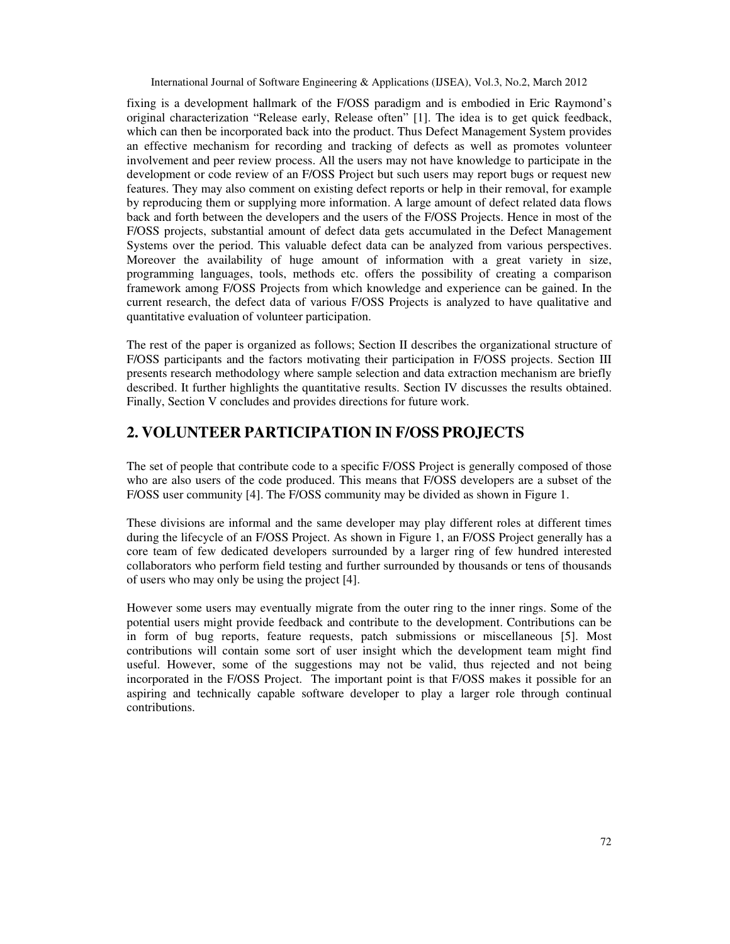fixing is a development hallmark of the F/OSS paradigm and is embodied in Eric Raymond's original characterization "Release early, Release often" [1]. The idea is to get quick feedback, which can then be incorporated back into the product. Thus Defect Management System provides an effective mechanism for recording and tracking of defects as well as promotes volunteer involvement and peer review process. All the users may not have knowledge to participate in the development or code review of an F/OSS Project but such users may report bugs or request new features. They may also comment on existing defect reports or help in their removal, for example by reproducing them or supplying more information. A large amount of defect related data flows back and forth between the developers and the users of the F/OSS Projects. Hence in most of the F/OSS projects, substantial amount of defect data gets accumulated in the Defect Management Systems over the period. This valuable defect data can be analyzed from various perspectives. Moreover the availability of huge amount of information with a great variety in size, programming languages, tools, methods etc. offers the possibility of creating a comparison framework among F/OSS Projects from which knowledge and experience can be gained. In the current research, the defect data of various F/OSS Projects is analyzed to have qualitative and quantitative evaluation of volunteer participation.

The rest of the paper is organized as follows; Section II describes the organizational structure of F/OSS participants and the factors motivating their participation in F/OSS projects. Section III presents research methodology where sample selection and data extraction mechanism are briefly described. It further highlights the quantitative results. Section IV discusses the results obtained. Finally, Section V concludes and provides directions for future work.

# **2. VOLUNTEER PARTICIPATION IN F/OSS PROJECTS**

The set of people that contribute code to a specific F/OSS Project is generally composed of those who are also users of the code produced. This means that F/OSS developers are a subset of the F/OSS user community [4]. The F/OSS community may be divided as shown in Figure 1.

These divisions are informal and the same developer may play different roles at different times during the lifecycle of an F/OSS Project. As shown in Figure 1, an F/OSS Project generally has a core team of few dedicated developers surrounded by a larger ring of few hundred interested collaborators who perform field testing and further surrounded by thousands or tens of thousands of users who may only be using the project [4].

However some users may eventually migrate from the outer ring to the inner rings. Some of the potential users might provide feedback and contribute to the development. Contributions can be in form of bug reports, feature requests, patch submissions or miscellaneous [5]. Most contributions will contain some sort of user insight which the development team might find useful. However, some of the suggestions may not be valid, thus rejected and not being incorporated in the F/OSS Project. The important point is that F/OSS makes it possible for an aspiring and technically capable software developer to play a larger role through continual contributions.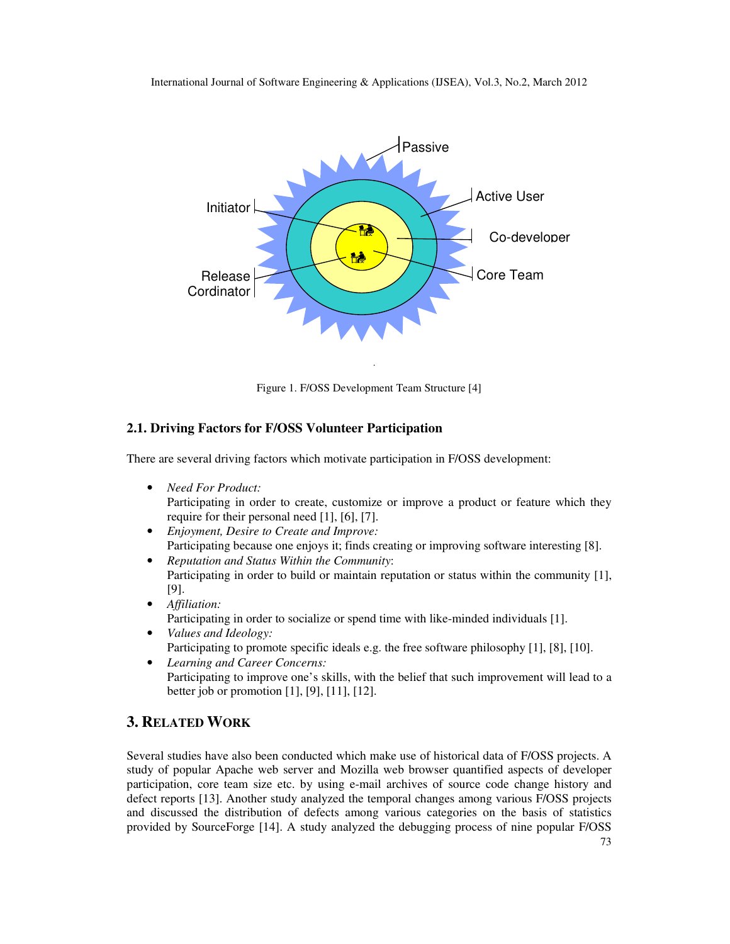

Figure 1. F/OSS Development Team Structure [4]

#### **2.1. Driving Factors for F/OSS Volunteer Participation**

There are several driving factors which motivate participation in F/OSS development:

- *Need For Product:*  Participating in order to create, customize or improve a product or feature which they require for their personal need [1], [6], [7].
- *Enjoyment, Desire to Create and Improve:*  Participating because one enjoys it; finds creating or improving software interesting [8].
- *Reputation and Status Within the Community*: Participating in order to build or maintain reputation or status within the community [1], [9].
- *Affiliation:*  Participating in order to socialize or spend time with like-minded individuals [1].
- *Values and Ideology:*  Participating to promote specific ideals e.g. the free software philosophy [1], [8], [10].
- *Learning and Career Concerns:*  Participating to improve one's skills, with the belief that such improvement will lead to a better job or promotion [1], [9], [11], [12].

## **3. RELATED WORK**

Several studies have also been conducted which make use of historical data of F/OSS projects. A study of popular Apache web server and Mozilla web browser quantified aspects of developer participation, core team size etc. by using e-mail archives of source code change history and defect reports [13]. Another study analyzed the temporal changes among various F/OSS projects and discussed the distribution of defects among various categories on the basis of statistics provided by SourceForge [14]. A study analyzed the debugging process of nine popular F/OSS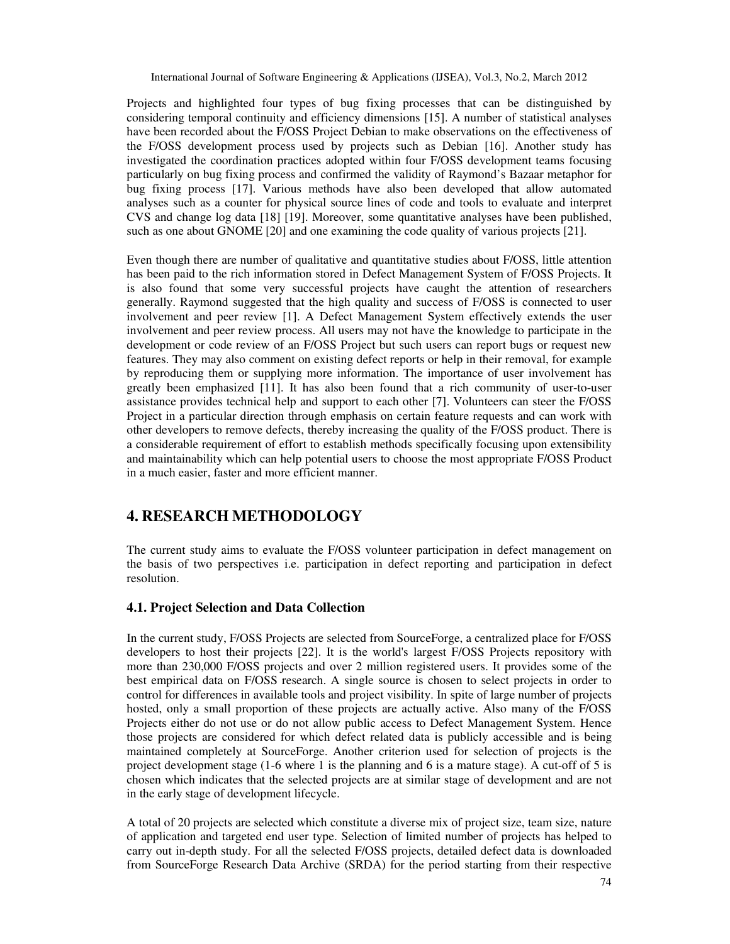Projects and highlighted four types of bug fixing processes that can be distinguished by considering temporal continuity and efficiency dimensions [15]. A number of statistical analyses have been recorded about the F/OSS Project Debian to make observations on the effectiveness of the F/OSS development process used by projects such as Debian [16]. Another study has investigated the coordination practices adopted within four F/OSS development teams focusing particularly on bug fixing process and confirmed the validity of Raymond's Bazaar metaphor for bug fixing process [17]. Various methods have also been developed that allow automated analyses such as a counter for physical source lines of code and tools to evaluate and interpret CVS and change log data [18] [19]. Moreover, some quantitative analyses have been published, such as one about GNOME [20] and one examining the code quality of various projects [21].

Even though there are number of qualitative and quantitative studies about F/OSS, little attention has been paid to the rich information stored in Defect Management System of F/OSS Projects. It is also found that some very successful projects have caught the attention of researchers generally. Raymond suggested that the high quality and success of F/OSS is connected to user involvement and peer review [1]. A Defect Management System effectively extends the user involvement and peer review process. All users may not have the knowledge to participate in the development or code review of an F/OSS Project but such users can report bugs or request new features. They may also comment on existing defect reports or help in their removal, for example by reproducing them or supplying more information. The importance of user involvement has greatly been emphasized [11]. It has also been found that a rich community of user-to-user assistance provides technical help and support to each other [7]. Volunteers can steer the F/OSS Project in a particular direction through emphasis on certain feature requests and can work with other developers to remove defects, thereby increasing the quality of the F/OSS product. There is a considerable requirement of effort to establish methods specifically focusing upon extensibility and maintainability which can help potential users to choose the most appropriate F/OSS Product in a much easier, faster and more efficient manner.

## **4. RESEARCH METHODOLOGY**

The current study aims to evaluate the F/OSS volunteer participation in defect management on the basis of two perspectives i.e. participation in defect reporting and participation in defect resolution.

## **4.1. Project Selection and Data Collection**

In the current study, F/OSS Projects are selected from SourceForge, a centralized place for F/OSS developers to host their projects [22]. It is the world's largest F/OSS Projects repository with more than 230,000 F/OSS projects and over 2 million registered users. It provides some of the best empirical data on F/OSS research. A single source is chosen to select projects in order to control for differences in available tools and project visibility. In spite of large number of projects hosted, only a small proportion of these projects are actually active. Also many of the F/OSS Projects either do not use or do not allow public access to Defect Management System. Hence those projects are considered for which defect related data is publicly accessible and is being maintained completely at SourceForge. Another criterion used for selection of projects is the project development stage (1-6 where 1 is the planning and 6 is a mature stage). A cut-off of 5 is chosen which indicates that the selected projects are at similar stage of development and are not in the early stage of development lifecycle.

A total of 20 projects are selected which constitute a diverse mix of project size, team size, nature of application and targeted end user type. Selection of limited number of projects has helped to carry out in-depth study. For all the selected F/OSS projects, detailed defect data is downloaded from SourceForge Research Data Archive (SRDA) for the period starting from their respective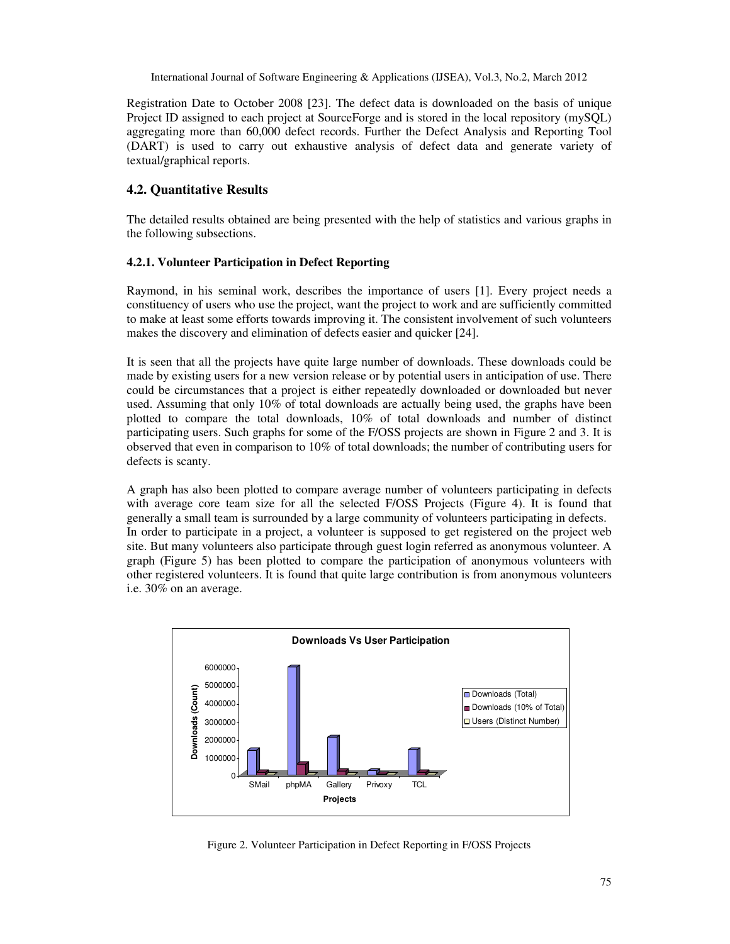Registration Date to October 2008 [23]. The defect data is downloaded on the basis of unique Project ID assigned to each project at SourceForge and is stored in the local repository (mySQL) aggregating more than 60,000 defect records. Further the Defect Analysis and Reporting Tool (DART) is used to carry out exhaustive analysis of defect data and generate variety of textual/graphical reports.

## **4.2. Quantitative Results**

The detailed results obtained are being presented with the help of statistics and various graphs in the following subsections.

## **4.2.1. Volunteer Participation in Defect Reporting**

Raymond, in his seminal work, describes the importance of users [1]. Every project needs a constituency of users who use the project, want the project to work and are sufficiently committed to make at least some efforts towards improving it. The consistent involvement of such volunteers makes the discovery and elimination of defects easier and quicker [24].

It is seen that all the projects have quite large number of downloads. These downloads could be made by existing users for a new version release or by potential users in anticipation of use. There could be circumstances that a project is either repeatedly downloaded or downloaded but never used. Assuming that only 10% of total downloads are actually being used, the graphs have been plotted to compare the total downloads, 10% of total downloads and number of distinct participating users. Such graphs for some of the F/OSS projects are shown in Figure 2 and 3. It is observed that even in comparison to 10% of total downloads; the number of contributing users for defects is scanty.

A graph has also been plotted to compare average number of volunteers participating in defects with average core team size for all the selected F/OSS Projects (Figure 4). It is found that generally a small team is surrounded by a large community of volunteers participating in defects. In order to participate in a project, a volunteer is supposed to get registered on the project web site. But many volunteers also participate through guest login referred as anonymous volunteer. A graph (Figure 5) has been plotted to compare the participation of anonymous volunteers with other registered volunteers. It is found that quite large contribution is from anonymous volunteers i.e. 30% on an average.



Figure 2. Volunteer Participation in Defect Reporting in F/OSS Projects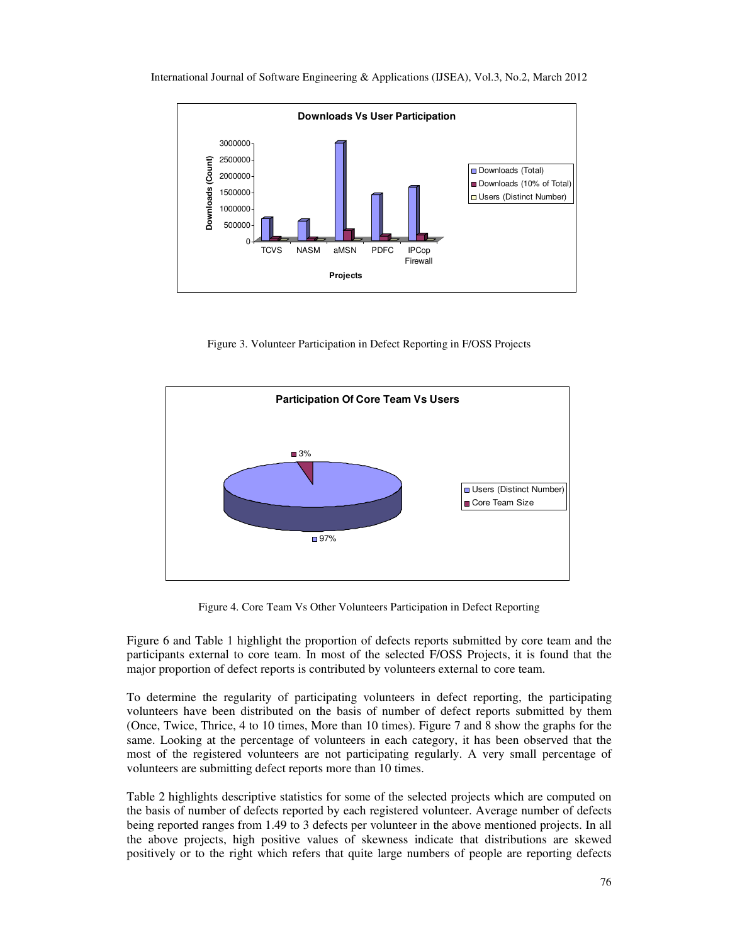

International Journal of Software Engineering & Applications (IJSEA), Vol.3, No.2, March 2012

Figure 3. Volunteer Participation in Defect Reporting in F/OSS Projects



Figure 4. Core Team Vs Other Volunteers Participation in Defect Reporting

Figure 6 and Table 1 highlight the proportion of defects reports submitted by core team and the participants external to core team. In most of the selected F/OSS Projects, it is found that the major proportion of defect reports is contributed by volunteers external to core team.

To determine the regularity of participating volunteers in defect reporting, the participating volunteers have been distributed on the basis of number of defect reports submitted by them (Once, Twice, Thrice, 4 to 10 times, More than 10 times). Figure 7 and 8 show the graphs for the same. Looking at the percentage of volunteers in each category, it has been observed that the most of the registered volunteers are not participating regularly. A very small percentage of volunteers are submitting defect reports more than 10 times.

Table 2 highlights descriptive statistics for some of the selected projects which are computed on the basis of number of defects reported by each registered volunteer. Average number of defects being reported ranges from 1.49 to 3 defects per volunteer in the above mentioned projects. In all the above projects, high positive values of skewness indicate that distributions are skewed positively or to the right which refers that quite large numbers of people are reporting defects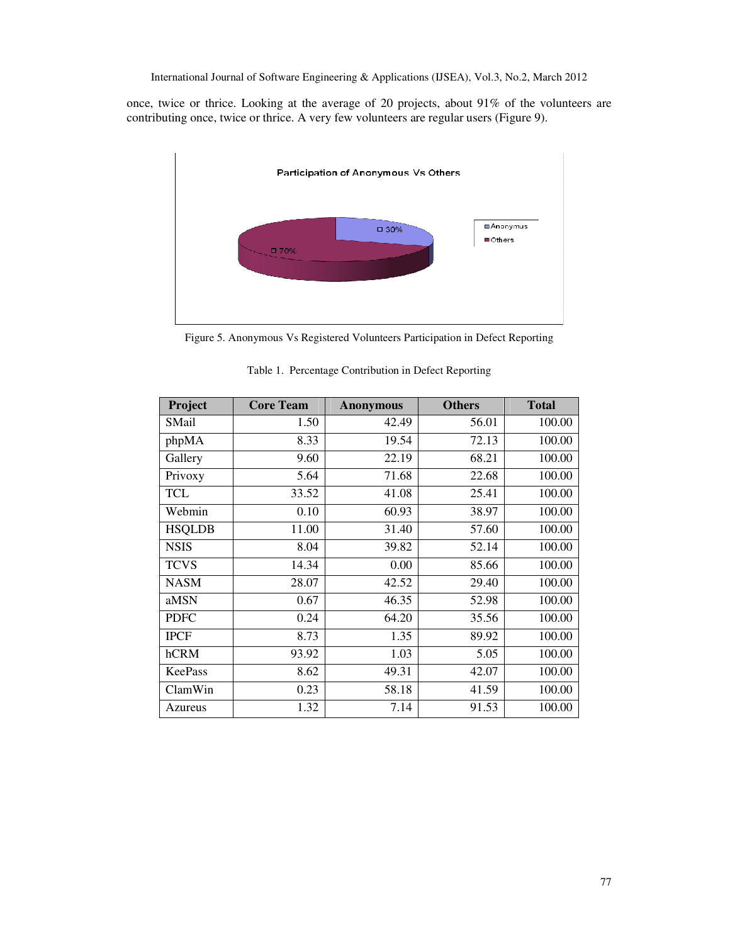once, twice or thrice. Looking at the average of 20 projects, about 91% of the volunteers are contributing once, twice or thrice. A very few volunteers are regular users (Figure 9).



Figure 5. Anonymous Vs Registered Volunteers Participation in Defect Reporting

| Project        | <b>Core Team</b> | <b>Anonymous</b> | <b>Others</b> | <b>Total</b> |
|----------------|------------------|------------------|---------------|--------------|
| SMail          | 1.50             | 42.49            | 56.01         | 100.00       |
| phpMA          | 8.33             | 19.54            | 72.13         | 100.00       |
| Gallery        | 9.60             | 22.19            | 68.21         | 100.00       |
| Privoxy        | 5.64             | 71.68            | 22.68         | 100.00       |
| <b>TCL</b>     | 33.52            | 41.08            | 25.41         | 100.00       |
| Webmin         | 0.10             | 60.93            | 38.97         | 100.00       |
| <b>HSQLDB</b>  | 11.00            | 31.40            | 57.60         | 100.00       |
| <b>NSIS</b>    | 8.04             | 39.82            | 52.14         | 100.00       |
| <b>TCVS</b>    | 14.34            | 0.00             | 85.66         | 100.00       |
| <b>NASM</b>    | 28.07            | 42.52            | 29.40         | 100.00       |
| aMSN           | 0.67             | 46.35            | 52.98         | 100.00       |
| <b>PDFC</b>    | 0.24             | 64.20            | 35.56         | 100.00       |
| <b>IPCF</b>    | 8.73             | 1.35             | 89.92         | 100.00       |
| hCRM           | 93.92            | 1.03             | 5.05          | 100.00       |
| <b>KeePass</b> | 8.62             | 49.31            | 42.07         | 100.00       |
| ClamWin        | 0.23             | 58.18            | 41.59         | 100.00       |
| Azureus        | 1.32             | 7.14             | 91.53         | 100.00       |

Table 1. Percentage Contribution in Defect Reporting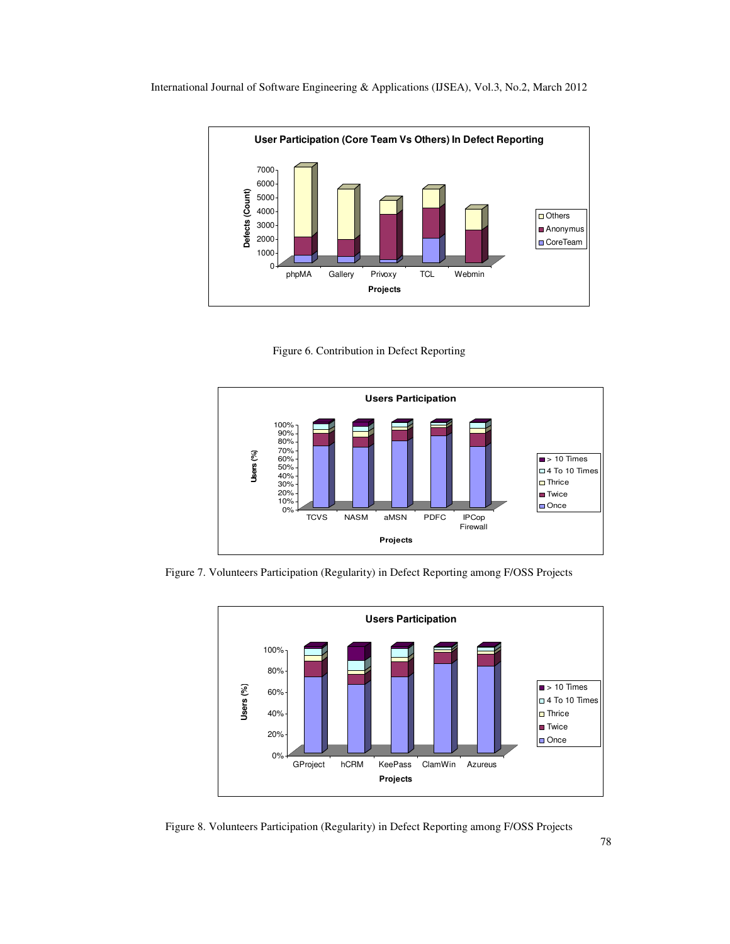

Figure 6. Contribution in Defect Reporting



Figure 7. Volunteers Participation (Regularity) in Defect Reporting among F/OSS Projects



Figure 8. Volunteers Participation (Regularity) in Defect Reporting among F/OSS Projects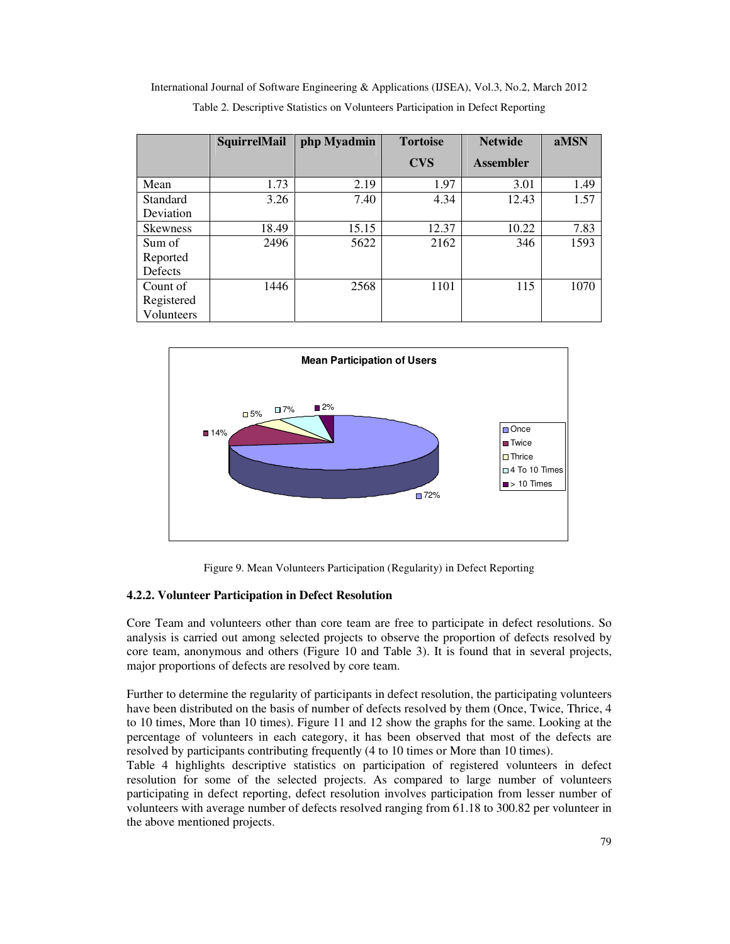|                 | <b>SquirrelMail</b> | php Myadmin | <b>Tortoise</b> | <b>Netwide</b>   | aMSN |
|-----------------|---------------------|-------------|-----------------|------------------|------|
|                 |                     |             | <b>CVS</b>      | <b>Assembler</b> |      |
| Mean            | 1.73                | 2.19        | 1.97            | 3.01             | 1.49 |
| <b>Standard</b> | 3.26                | 7.40        | 4.34            | 12.43            | 1.57 |
| Deviation       |                     |             |                 |                  |      |
| <b>Skewness</b> | 18.49               | 15.15       | 12.37           | 10.22            | 7.83 |
| Sum of          | 2496                | 5622        | 2162            | 346              | 1593 |
| Reported        |                     |             |                 |                  |      |
| <b>Defects</b>  |                     |             |                 |                  |      |
| Count of        | 1446                | 2568        | 1101            | 115              | 1070 |
| Registered      |                     |             |                 |                  |      |
| Volunteers      |                     |             |                 |                  |      |

International Journal of Software Engineering & Applications (IJSEA), Vol.3, No.2, March 2012 Table 2. Descriptive Statistics on Volunteers Participation in Defect Reporting



Figure 9. Mean Volunteers Participation (Regularity) in Defect Reporting

## **4.2.2. Volunteer Participation in Defect Resolution**

Core Team and volunteers other than core team are free to participate in defect resolutions. So analysis is carried out among selected projects to observe the proportion of defects resolved by core team, anonymous and others (Figure 10 and Table 3). It is found that in several projects, major proportions of defects are resolved by core team.

Further to determine the regularity of participants in defect resolution, the participating volunteers have been distributed on the basis of number of defects resolved by them (Once, Twice, Thrice, 4 to 10 times, More than 10 times). Figure 11 and 12 show the graphs for the same. Looking at the percentage of volunteers in each category, it has been observed that most of the defects are resolved by participants contributing frequently (4 to 10 times or More than 10 times).

Table 4 highlights descriptive statistics on participation of registered volunteers in defect resolution for some of the selected projects. As compared to large number of volunteers participating in defect reporting, defect resolution involves participation from lesser number of volunteers with average number of defects resolved ranging from 61.18 to 300.82 per volunteer in the above mentioned projects.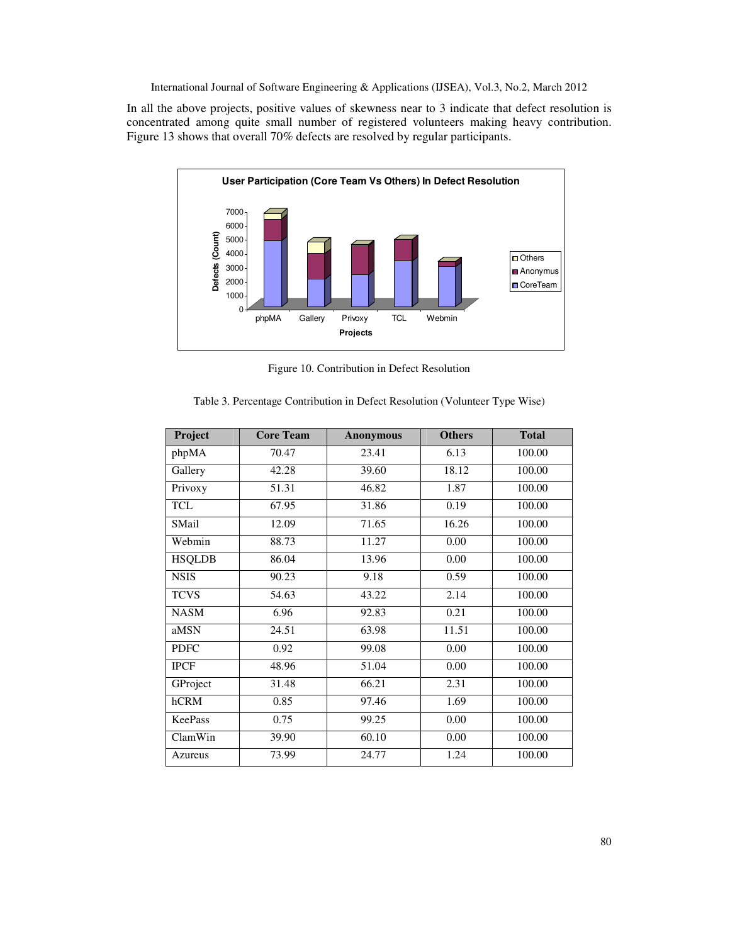In all the above projects, positive values of skewness near to 3 indicate that defect resolution is concentrated among quite small number of registered volunteers making heavy contribution. Figure 13 shows that overall 70% defects are resolved by regular participants.



Figure 10. Contribution in Defect Resolution

| Project        | <b>Core Team</b> | <b>Anonymous</b> | <b>Others</b> | <b>Total</b> |
|----------------|------------------|------------------|---------------|--------------|
| phpMA          | 70.47            | 23.41            | 6.13          | 100.00       |
| Gallery        | 42.28            | 39.60            | 18.12         | 100.00       |
| Privoxy        | 51.31            | 46.82            | 1.87          | 100.00       |
| <b>TCL</b>     | 67.95            | 31.86            | 0.19          | 100.00       |
| SMail          | 12.09            | 71.65            | 16.26         | 100.00       |
| Webmin         | 88.73            | 11.27            | 0.00          | 100.00       |
| <b>HSQLDB</b>  | 86.04            | 13.96            | 0.00          | 100.00       |
| <b>NSIS</b>    | 90.23            | 9.18             | 0.59          | 100.00       |
| <b>TCVS</b>    | 54.63            | 43.22            | 2.14          | 100.00       |
| <b>NASM</b>    | 6.96             | 92.83            | 0.21          | 100.00       |
| aMSN           | 24.51            | 63.98            | 11.51         | 100.00       |
| <b>PDFC</b>    | 0.92             | 99.08            | 0.00          | 100.00       |
| <b>IPCF</b>    | 48.96            | 51.04            | 0.00          | 100.00       |
| GProject       | 31.48            | 66.21            | 2.31          | 100.00       |
| hCRM           | 0.85             | 97.46            | 1.69          | 100.00       |
| <b>KeePass</b> | 0.75             | 99.25            | 0.00          | 100.00       |
| ClamWin        | 39.90            | 60.10            | 0.00          | 100.00       |
| Azureus        | 73.99            | 24.77            | 1.24          | 100.00       |

Table 3. Percentage Contribution in Defect Resolution (Volunteer Type Wise)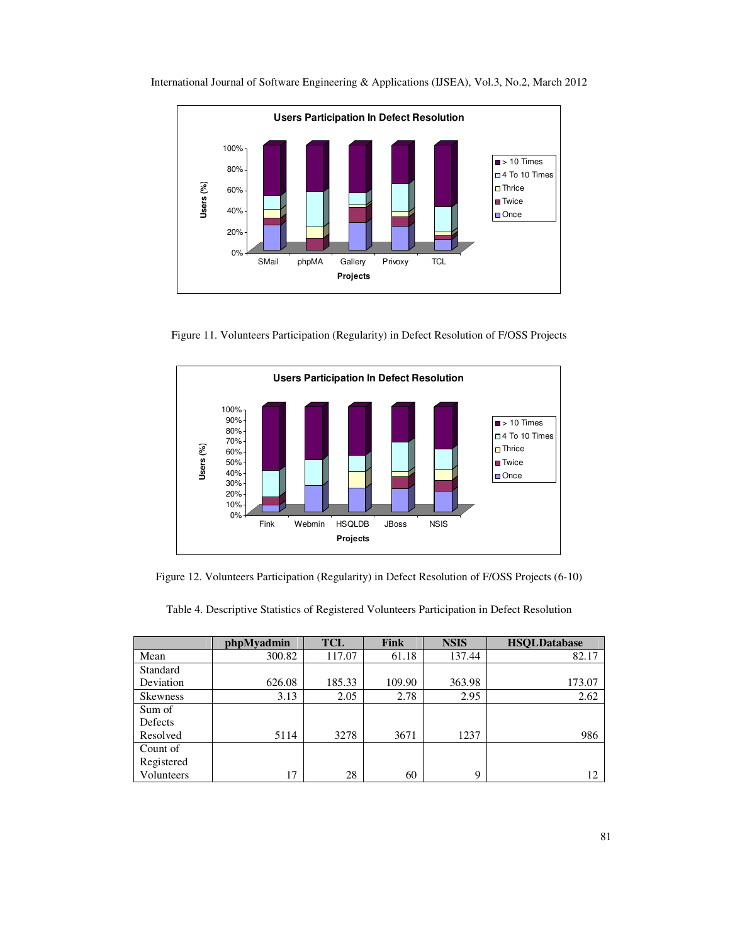

International Journal of Software Engineering & Applications (IJSEA), Vol.3, No.2, March 2012

Figure 11. Volunteers Participation (Regularity) in Defect Resolution of F/OSS Projects



Figure 12. Volunteers Participation (Regularity) in Defect Resolution of F/OSS Projects (6-10)

|  |  | Table 4. Descriptive Statistics of Registered Volunteers Participation in Defect Resolution |
|--|--|---------------------------------------------------------------------------------------------|
|  |  |                                                                                             |

|                 | phpMyadmin | <b>TCL</b> | <b>Fink</b> | <b>NSIS</b> | <b>HSOLDatabase</b> |
|-----------------|------------|------------|-------------|-------------|---------------------|
| Mean            | 300.82     | 117.07     | 61.18       | 137.44      | 82.17               |
| Standard        |            |            |             |             |                     |
| Deviation       | 626.08     | 185.33     | 109.90      | 363.98      | 173.07              |
| <b>Skewness</b> | 3.13       | 2.05       | 2.78        | 2.95        | 2.62                |
| Sum of          |            |            |             |             |                     |
| Defects         |            |            |             |             |                     |
| Resolved        | 5114       | 3278       | 3671        | 1237        | 986                 |
| Count of        |            |            |             |             |                     |
| Registered      |            |            |             |             |                     |
| Volunteers      | 17         | 28         | 60          | 9           | 12                  |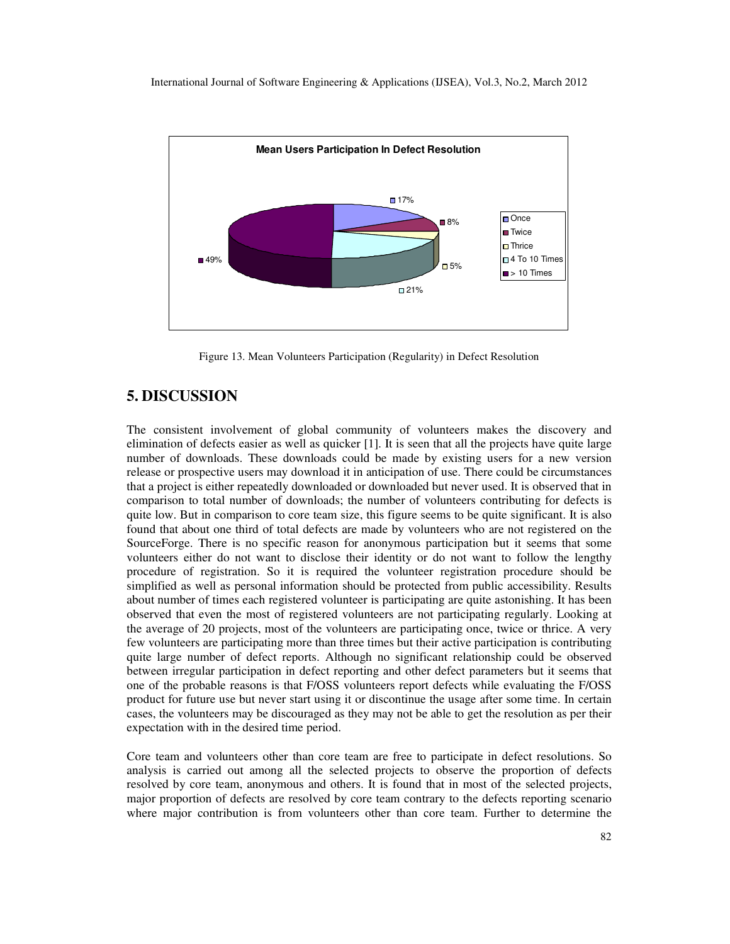

Figure 13. Mean Volunteers Participation (Regularity) in Defect Resolution

# **5. DISCUSSION**

The consistent involvement of global community of volunteers makes the discovery and elimination of defects easier as well as quicker [1]. It is seen that all the projects have quite large number of downloads. These downloads could be made by existing users for a new version release or prospective users may download it in anticipation of use. There could be circumstances that a project is either repeatedly downloaded or downloaded but never used. It is observed that in comparison to total number of downloads; the number of volunteers contributing for defects is quite low. But in comparison to core team size, this figure seems to be quite significant. It is also found that about one third of total defects are made by volunteers who are not registered on the SourceForge. There is no specific reason for anonymous participation but it seems that some volunteers either do not want to disclose their identity or do not want to follow the lengthy procedure of registration. So it is required the volunteer registration procedure should be simplified as well as personal information should be protected from public accessibility. Results about number of times each registered volunteer is participating are quite astonishing. It has been observed that even the most of registered volunteers are not participating regularly. Looking at the average of 20 projects, most of the volunteers are participating once, twice or thrice. A very few volunteers are participating more than three times but their active participation is contributing quite large number of defect reports. Although no significant relationship could be observed between irregular participation in defect reporting and other defect parameters but it seems that one of the probable reasons is that F/OSS volunteers report defects while evaluating the F/OSS product for future use but never start using it or discontinue the usage after some time. In certain cases, the volunteers may be discouraged as they may not be able to get the resolution as per their expectation with in the desired time period.

Core team and volunteers other than core team are free to participate in defect resolutions. So analysis is carried out among all the selected projects to observe the proportion of defects resolved by core team, anonymous and others. It is found that in most of the selected projects, major proportion of defects are resolved by core team contrary to the defects reporting scenario where major contribution is from volunteers other than core team. Further to determine the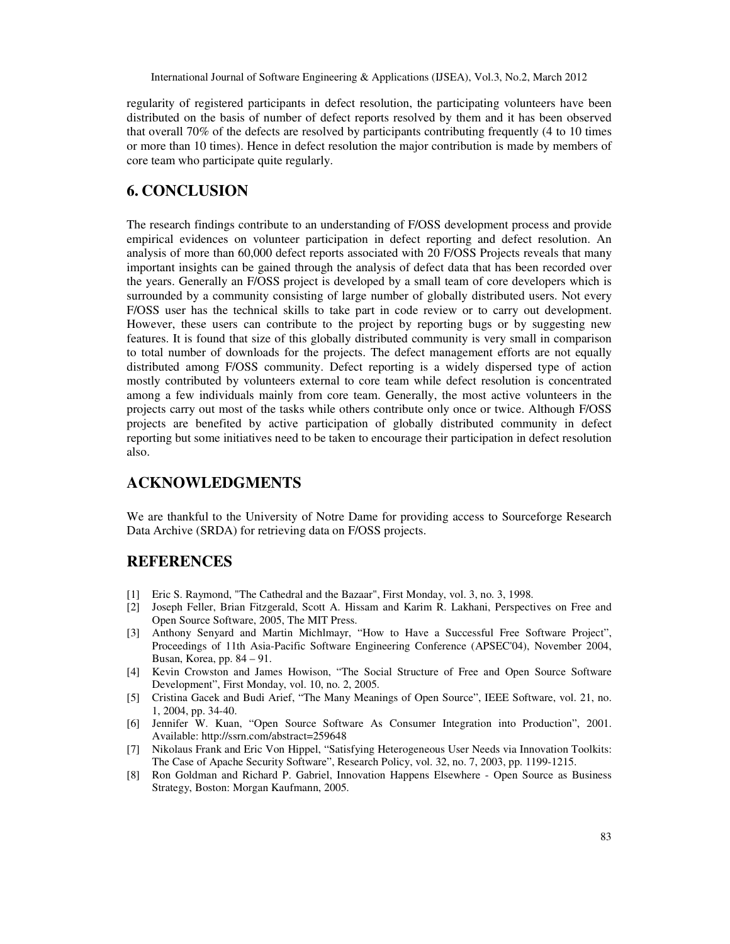regularity of registered participants in defect resolution, the participating volunteers have been distributed on the basis of number of defect reports resolved by them and it has been observed that overall 70% of the defects are resolved by participants contributing frequently (4 to 10 times or more than 10 times). Hence in defect resolution the major contribution is made by members of core team who participate quite regularly.

# **6. CONCLUSION**

The research findings contribute to an understanding of F/OSS development process and provide empirical evidences on volunteer participation in defect reporting and defect resolution. An analysis of more than 60,000 defect reports associated with 20 F/OSS Projects reveals that many important insights can be gained through the analysis of defect data that has been recorded over the years. Generally an F/OSS project is developed by a small team of core developers which is surrounded by a community consisting of large number of globally distributed users. Not every F/OSS user has the technical skills to take part in code review or to carry out development. However, these users can contribute to the project by reporting bugs or by suggesting new features. It is found that size of this globally distributed community is very small in comparison to total number of downloads for the projects. The defect management efforts are not equally distributed among F/OSS community. Defect reporting is a widely dispersed type of action mostly contributed by volunteers external to core team while defect resolution is concentrated among a few individuals mainly from core team. Generally, the most active volunteers in the projects carry out most of the tasks while others contribute only once or twice. Although F/OSS projects are benefited by active participation of globally distributed community in defect reporting but some initiatives need to be taken to encourage their participation in defect resolution also.

## **ACKNOWLEDGMENTS**

We are thankful to the University of Notre Dame for providing access to Sourceforge Research Data Archive (SRDA) for retrieving data on F/OSS projects.

## **REFERENCES**

- [1] Eric S. Raymond, "The Cathedral and the Bazaar", First Monday, vol. 3, no. 3, 1998.
- [2] Joseph Feller, Brian Fitzgerald, Scott A. Hissam and Karim R. Lakhani, Perspectives on Free and Open Source Software, 2005, The MIT Press.
- [3] Anthony Senyard and Martin Michlmayr, "How to Have a Successful Free Software Project", Proceedings of 11th Asia-Pacific Software Engineering Conference (APSEC'04), November 2004, Busan, Korea, pp. 84 – 91.
- [4] Kevin Crowston and James Howison, "The Social Structure of Free and Open Source Software Development", First Monday, vol. 10, no. 2, 2005.
- [5] Cristina Gacek and Budi Arief, "The Many Meanings of Open Source", IEEE Software, vol. 21, no. 1, 2004, pp. 34-40.
- [6] Jennifer W. Kuan, "Open Source Software As Consumer Integration into Production", 2001. Available: http://ssrn.com/abstract=259648
- [7] Nikolaus Frank and Eric Von Hippel, "Satisfying Heterogeneous User Needs via Innovation Toolkits: The Case of Apache Security Software", Research Policy, vol. 32, no. 7, 2003, pp. 1199-1215.
- [8] Ron Goldman and Richard P. Gabriel, Innovation Happens Elsewhere Open Source as Business Strategy, Boston: Morgan Kaufmann, 2005.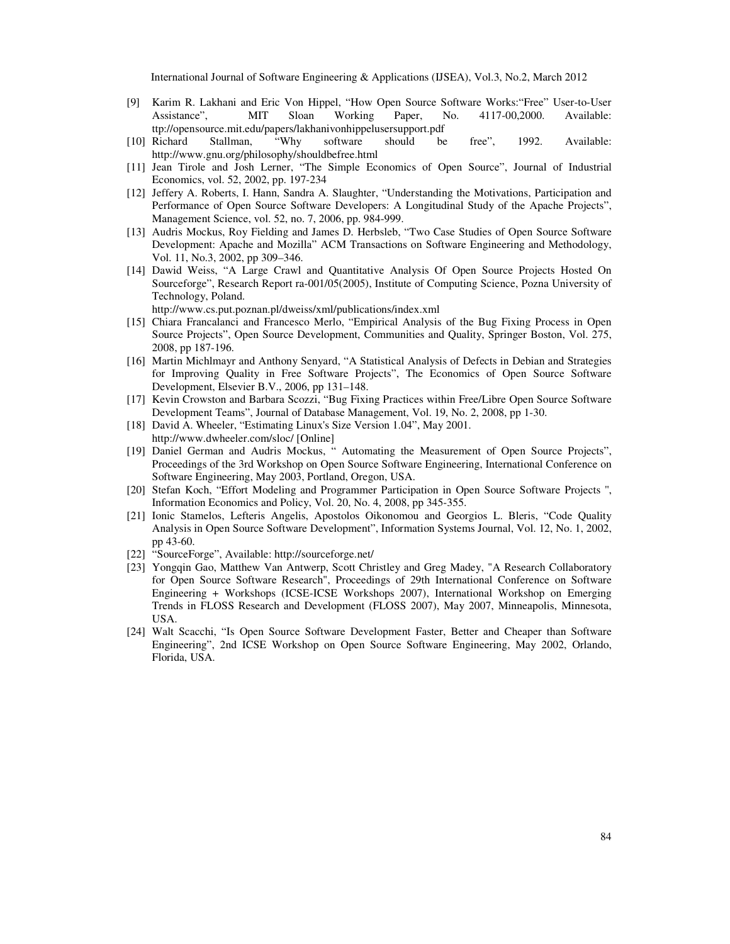- [9] Karim R. Lakhani and Eric Von Hippel, "How Open Source Software Works:"Free" User-to-User Assistance", MIT Sloan Working Paper, No. 4117-00,2000. Available: ttp://opensource.mit.edu/papers/lakhanivonhippelusersupport.pdf
- [10] Richard Stallman, "Why software should be free", 1992. Available: http://www.gnu.org/philosophy/shouldbefree.html
- [11] Jean Tirole and Josh Lerner, "The Simple Economics of Open Source", Journal of Industrial Economics, vol. 52, 2002, pp. 197-234
- [12] Jeffery A. Roberts, I. Hann, Sandra A. Slaughter, "Understanding the Motivations, Participation and Performance of Open Source Software Developers: A Longitudinal Study of the Apache Projects", Management Science, vol. 52, no. 7, 2006, pp. 984-999.
- [13] Audris Mockus, Roy Fielding and James D. Herbsleb, "Two Case Studies of Open Source Software Development: Apache and Mozilla" ACM Transactions on Software Engineering and Methodology, Vol. 11, No.3, 2002, pp 309–346.
- [14] Dawid Weiss, "A Large Crawl and Quantitative Analysis Of Open Source Projects Hosted On Sourceforge", Research Report ra-001/05(2005), Institute of Computing Science, Pozna University of Technology, Poland.

http://www.cs.put.poznan.pl/dweiss/xml/publications/index.xml

- [15] Chiara Francalanci and Francesco Merlo, "Empirical Analysis of the Bug Fixing Process in Open Source Projects", Open Source Development, Communities and Quality, Springer Boston, Vol. 275, 2008, pp 187-196.
- [16] Martin Michlmayr and Anthony Senyard, "A Statistical Analysis of Defects in Debian and Strategies for Improving Quality in Free Software Projects", The Economics of Open Source Software Development, Elsevier B.V., 2006, pp 131–148.
- [17] Kevin Crowston and Barbara Scozzi, "Bug Fixing Practices within Free/Libre Open Source Software Development Teams", Journal of Database Management, Vol. 19, No. 2, 2008, pp 1-30.
- [18] David A. Wheeler, "Estimating Linux's Size Version 1.04", May 2001. http://www.dwheeler.com/sloc/ [Online]
- [19] Daniel German and Audris Mockus, " Automating the Measurement of Open Source Projects", Proceedings of the 3rd Workshop on Open Source Software Engineering, International Conference on Software Engineering, May 2003, Portland, Oregon, USA.
- [20] Stefan Koch, "Effort Modeling and Programmer Participation in Open Source Software Projects '', Information Economics and Policy, Vol. 20, No. 4, 2008, pp 345-355.
- [21] Ionic Stamelos, Lefteris Angelis, Apostolos Oikonomou and Georgios L. Bleris, "Code Quality Analysis in Open Source Software Development", Information Systems Journal, Vol. 12, No. 1, 2002, pp 43-60.
- [22] "SourceForge", Available: http://sourceforge.net/
- [23] Yongqin Gao, Matthew Van Antwerp, Scott Christley and Greg Madey, "A Research Collaboratory for Open Source Software Research", Proceedings of 29th International Conference on Software Engineering + Workshops (ICSE-ICSE Workshops 2007), International Workshop on Emerging Trends in FLOSS Research and Development (FLOSS 2007), May 2007, Minneapolis, Minnesota, USA.
- [24] Walt Scacchi, "Is Open Source Software Development Faster, Better and Cheaper than Software Engineering", 2nd ICSE Workshop on Open Source Software Engineering, May 2002, Orlando, Florida, USA.